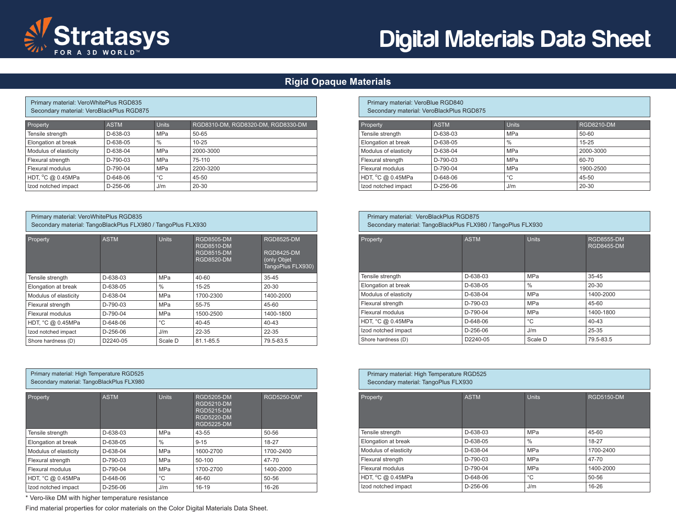

Primary material: VeroWhitePlus RGD835

# Digital Materials Data Sheet

## **Rigid Opaque Materials**

| Secondary material: VeroBlackPlus RGD875 |             |            |                                    |  |  |  |
|------------------------------------------|-------------|------------|------------------------------------|--|--|--|
| Property                                 | <b>ASTM</b> | Units      | RGD8310-DM, RGD8320-DM, RGD8330-DM |  |  |  |
| Tensile strength                         | D-638-03    | <b>MPa</b> | 50-65                              |  |  |  |
| Elongation at break                      | D-638-05    | $\%$       | $10 - 25$                          |  |  |  |
| Modulus of elasticity                    | D-638-04    | <b>MPa</b> | 2000-3000                          |  |  |  |
| Flexural strength                        | D-790-03    | <b>MPa</b> | 75-110                             |  |  |  |
| Flexural modulus                         | D-790-04    | <b>MPa</b> | 2200-3200                          |  |  |  |
| HDT, °C @ 0.45MPa                        | D-648-06    | °C         | 45-50                              |  |  |  |
| Izod notched impact                      | D-256-06    | J/m        | $20 - 30$                          |  |  |  |

## Primary material: VeroWhitePlus RGD835

Secondary material: TangoBlackPlus FLX980 / TangoPlus FLX930

| Property              | <b>ASTM</b> | <b>Units</b> | <b>RGD8505-DM</b><br><b>RGD8510-DM</b><br><b>RGD8515-DM</b><br><b>RGD8520-DM</b> | <b>RGD8525-DM</b><br><b>RGD8425-DM</b><br>(only Objet<br>TangoPlus FLX930) |
|-----------------------|-------------|--------------|----------------------------------------------------------------------------------|----------------------------------------------------------------------------|
| Tensile strength      | D-638-03    | <b>MPa</b>   | $40 - 60$                                                                        | $35 - 45$                                                                  |
| Elongation at break   | D-638-05    | $\%$         | $15 - 25$                                                                        | $20 - 30$                                                                  |
| Modulus of elasticity | D-638-04    | <b>MPa</b>   | 1700-2300                                                                        | 1400-2000                                                                  |
| Flexural strength     | $D-790-03$  | <b>MPa</b>   | 55-75                                                                            | 45-60                                                                      |
| Flexural modulus      | $D-790-04$  | <b>MPa</b>   | 1500-2500                                                                        | 1400-1800                                                                  |
| HDT, °C @ 0.45MPa     | $D-648-06$  | $^{\circ}C$  | $40 - 45$                                                                        | $40 - 43$                                                                  |
| Izod notched impact   | $D-256-06$  | J/m          | $22 - 35$                                                                        | $22 - 35$                                                                  |
| Shore hardness (D)    | D2240-05    | Scale D      | 81.1-85.5                                                                        | 79.5-83.5                                                                  |

| Primary material: High Temperature RGD525<br>Secondary material: TangoBlackPlus FLX980 |             |               |                                                                                                       |             |  |  |
|----------------------------------------------------------------------------------------|-------------|---------------|-------------------------------------------------------------------------------------------------------|-------------|--|--|
| Property                                                                               | <b>ASTM</b> | <b>Units</b>  | <b>RGD5205-DM</b><br><b>RGD5210-DM</b><br><b>RGD5215-DM</b><br><b>RGD5220-DM</b><br><b>RGD5225-DM</b> | RGD5250-DM* |  |  |
| Tensile strength                                                                       | D-638-03    | <b>MPa</b>    | 43-55                                                                                                 | $50 - 56$   |  |  |
| Elongation at break                                                                    | D-638-05    | $\frac{0}{0}$ | $9 - 15$                                                                                              | 18-27       |  |  |
| Modulus of elasticity                                                                  | D-638-04    | <b>MPa</b>    | 1600-2700                                                                                             | 1700-2400   |  |  |
| Flexural strength                                                                      | $D-790-03$  | <b>MPa</b>    | 50-100                                                                                                | $47 - 70$   |  |  |
| Flexural modulus                                                                       | $D-790-04$  | <b>MPa</b>    | 1700-2700                                                                                             | 1400-2000   |  |  |
| HDT, °C @ 0.45MPa                                                                      | $D-648-06$  | °C            | 46-60                                                                                                 | $50 - 56$   |  |  |
| Izod notched impact                                                                    | $D-256-06$  | J/m           | $16-19$                                                                                               | $16 - 26$   |  |  |

\* Vero-like DM with higher temperature resistance

Find material properties for color materials on the Color Digital Materials Data Sheet.

#### Primary material: VeroBlue RGD840 Secondary material: VeroBlackPlus RGD875

| Property              | <b>ASTM</b> | <b>Units</b> | <b>RGD8210-DM</b> |
|-----------------------|-------------|--------------|-------------------|
| Tensile strength      | D-638-03    | <b>MPa</b>   | 50-60             |
| Elongation at break   | D-638-05    | $\%$         | $15 - 25$         |
| Modulus of elasticity | $D-638-04$  | <b>MPa</b>   | 2000-3000         |
| Flexural strength     | $D-790-03$  | <b>MPa</b>   | 60-70             |
| Flexural modulus      | $D-790-04$  | MPa          | 1900-2500         |
| HDT, °C @ 0.45MPa     | $D-648-06$  | °C           | 45-50             |
| Izod notched impact   | $D-256-06$  | J/m          | $20 - 30$         |

#### Primary material: VeroBlackPlus RGD875 Secondary material: TangoBlackPlus FLX980 / TangoPlus FLX930

| Property              | <b>ASTM</b> | <b>Units</b>  | <b>RGD8555-DM</b><br><b>RGD8455-DM</b> |
|-----------------------|-------------|---------------|----------------------------------------|
| Tensile strength      | D-638-03    | <b>MPa</b>    | $35 - 45$                              |
| Elongation at break   | D-638-05    | $\frac{0}{0}$ | 20-30                                  |
| Modulus of elasticity | D-638-04    | <b>MPa</b>    | 1400-2000                              |
| Flexural strength     | D-790-03    | <b>MPa</b>    | 45-60                                  |
| Flexural modulus      | D-790-04    | <b>MPa</b>    | 1400-1800                              |
| HDT, °C @ 0.45MPa     | D-648-06    | °C            | $40 - 43$                              |
| Izod notched impact   | D-256-06    | J/m           | 25-35                                  |
| Shore hardness (D)    | D2240-05    | Scale D       | 79.5-83.5                              |

| Primary material: High Temperature RGD525<br>Secondary material: TangoPlus FLX930 |             |               |                   |  |
|-----------------------------------------------------------------------------------|-------------|---------------|-------------------|--|
| Property                                                                          | <b>ASTM</b> | <b>Units</b>  | <b>RGD5150-DM</b> |  |
| Tensile strength                                                                  | D-638-03    | <b>MPa</b>    | 45-60             |  |
| Elongation at break                                                               | $D-638-05$  | $\frac{0}{0}$ | 18-27             |  |
| Modulus of elasticity                                                             | D-638-04    | <b>MPa</b>    | 1700-2400         |  |
| Flexural strength                                                                 | $D-790-03$  | <b>MPa</b>    | 47-70             |  |
| Flexural modulus                                                                  | $D-790-04$  | <b>MPa</b>    | 1400-2000         |  |
| HDT, °C @ 0.45MPa                                                                 | D-648-06    | °C            | 50-56             |  |
| Izod notched impact                                                               | D-256-06    | J/m           | 16-26             |  |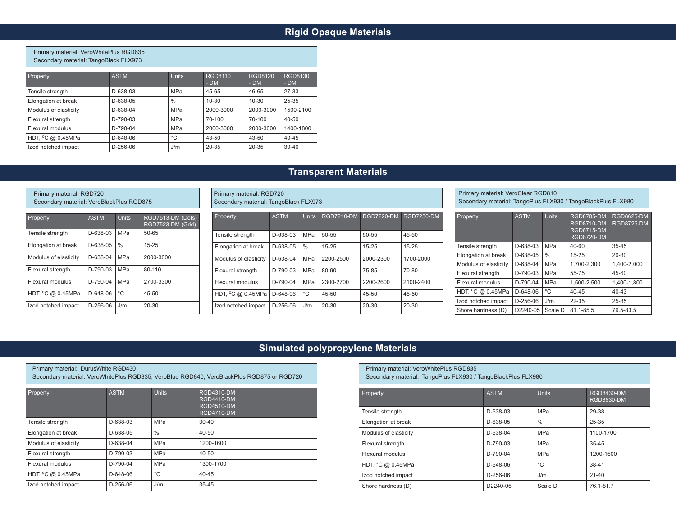## **Rigid Opaque Materials**

#### Primary material: VeroWhitePlus RGD835 Secondary material: TangoBlack FLX973

| Property              | <b>ASTM</b> | <b>Units</b> | <b>RGD8110</b><br>$-DM$ | <b>RGD8120</b><br>$-DM$ | RGD8130<br>$-DM$ |
|-----------------------|-------------|--------------|-------------------------|-------------------------|------------------|
| Tensile strength      | $D-638-03$  | MPa          | 45-65                   | 46-65                   | 27-33            |
| Elongation at break   | $D-638-05$  | $\%$         | $10 - 30$               | $10 - 30$               | 25-35            |
| Modulus of elasticity | $D-638-04$  | <b>MPa</b>   | 2000-3000               | 2000-3000               | 1500-2100        |
| Flexural strength     | $D-790-03$  | <b>MPa</b>   | 70-100                  | 70-100                  | $40 - 50$        |
| Flexural modulus      | $D-790-04$  | MPa          | 2000-3000               | 2000-3000               | 1400-1800        |
| HDT, °C @ 0.45MPa     | $D-648-06$  | $^{\circ}$ C | $43 - 50$               | $43 - 50$               | $40 - 45$        |
| Izod notched impact   | $D-256-06$  | J/m          | $20 - 35$               | $20 - 35$               | $30 - 40$        |

## **Transparent Materials**

#### Primary material: RGD720 Secondary material: VeroBlackPlus RGD875

| Property              | <b>ASTM</b> | <b>Units</b>  | RGD7513-DM (Dots)<br>RGD7523-DM (Grid) |
|-----------------------|-------------|---------------|----------------------------------------|
| Tensile strength      | D-638-03    | <b>MPa</b>    | 50-65                                  |
| Elongation at break   | D-638-05    | $\frac{0}{0}$ | $15 - 25$                              |
| Modulus of elasticity | D-638-04    | <b>MPa</b>    | 2000-3000                              |
| Flexural strength     | $D-790-03$  | <b>MPa</b>    | 80-110                                 |
| Flexural modulus      | $D-790-04$  | MPa           | 2700-3300                              |
| HDT, °C @ 0.45MPa     | $D-648-06$  | °C            | 45-50                                  |
| Izod notched impact   | D-256-06    | J/m           | $20 - 30$                              |

| Property              | <b>ASTM</b> | Units.        | <b>RGD7210-DM</b> | <b>RGD7220-DM</b> | <b>RGD7230-DM</b> |
|-----------------------|-------------|---------------|-------------------|-------------------|-------------------|
|                       |             |               |                   |                   |                   |
|                       |             |               |                   |                   |                   |
| Tensile strength      | $D-638-03$  | MPa           | 50-55             | 50-55             | 45-50             |
| Elongation at break   | D-638-05    | $\frac{0}{0}$ | $15 - 25$         | $15 - 25$         | $15 - 25$         |
|                       |             |               |                   |                   |                   |
| Modulus of elasticity | D-638-04    | MPa           | 2200-2500         | 2000-2300         | 1700-2000         |
|                       |             |               |                   |                   |                   |
| Flexural strength     | $D-790-03$  | <b>MPa</b>    | 80-90             | 75-85             | 70-80             |
|                       |             |               |                   |                   |                   |
| Flexural modulus      | $D-790-04$  | <b>MPa</b>    | 2300-2700         | 2200-2600         | 2100-2400         |
|                       |             |               |                   |                   |                   |
| HDT, °C @ 0.45MPa     | D-648-06    | $^{\circ}$ C  | 45-50             | 45-50             | 45-50             |
|                       |             |               |                   |                   |                   |
| Izod notched impact   | D-256-06    | J/m           | 20-30             | 20-30             | 20-30             |
|                       |             |               |                   |                   |                   |

Primary material: RGD720

Secondary material: TangoBlack FLX973

Primary material: VeroClear RGD810 Secondary material: TangoPlus FLX930 / TangoBlackPlus FLX980

| Property                    | <b>ASTM</b> | <b>Units</b> | <b>RGD8705-DM</b><br><b>RGD8710-DM</b><br><b>RGD8715-DM</b><br><b>RGD8720-DM</b> | <b>RGD8625-DM</b><br><b>RGD8725-DM</b> |
|-----------------------------|-------------|--------------|----------------------------------------------------------------------------------|----------------------------------------|
| Tensile strength            | D-638-03    | MPa          | 40-60                                                                            | $35 - 45$                              |
| Elongation at break         | D-638-05    | $\%$         | $15 - 25$                                                                        | $20 - 30$                              |
| Modulus of elasticity       | D-638-04    | MPa          | 1,700-2,300                                                                      | 1.400-2.000                            |
| Flexural strength           | $D-790-03$  | MPa          | 55-75                                                                            | 45-60                                  |
| Flexural modulus            | D-790-04    | MPa          | 1.500-2.500                                                                      | 1.400-1.800                            |
| HDT, $^{\circ}$ C @ 0.45MPa | D-648-06    | °C           | $40 - 45$                                                                        | $40 - 43$                              |
| Izod notched impact         | $D-256-06$  | J/m          | 22-35                                                                            | 25-35                                  |
| Shore hardness (D)          | D2240-05    | Scale D      | 81.1-85.5                                                                        | 79.5-83.5                              |

## **Simulated polypropylene Materials**

| Primary material: DurusWhite RGD430<br>Secondary material: VeroWhitePlus RGD835, VeroBlue RGD840, VeroBlackPlus RGD875 or RGD720 |             |               |                                                                           |  |  |  |
|----------------------------------------------------------------------------------------------------------------------------------|-------------|---------------|---------------------------------------------------------------------------|--|--|--|
| Property                                                                                                                         | <b>ASTM</b> | <b>Units</b>  | RGD4310-DM<br><b>RGD4410-DM</b><br><b>RGD4510-DM</b><br><b>RGD4710-DM</b> |  |  |  |
| Tensile strength                                                                                                                 | D-638-03    | <b>MPa</b>    | $30 - 40$                                                                 |  |  |  |
| Elongation at break                                                                                                              | D-638-05    | $\frac{0}{0}$ | $40 - 50$                                                                 |  |  |  |
| Modulus of elasticity                                                                                                            | $D-638-04$  | <b>MPa</b>    | 1200-1600                                                                 |  |  |  |
| Flexural strength                                                                                                                | D-790-03    | <b>MPa</b>    | 40-50                                                                     |  |  |  |
| Flexural modulus                                                                                                                 | $D-790-04$  | <b>MPa</b>    | 1300-1700                                                                 |  |  |  |
| HDT, °C @ 0.45MPa                                                                                                                | D-648-06    | °C            | $40 - 45$                                                                 |  |  |  |
| Izod notched impact                                                                                                              | $D-256-06$  | J/m           | $35 - 45$                                                                 |  |  |  |

Primary material: VeroWhitePlus RGD835 Secondary material: TangoPlus FLX930 / TangoBlackPlus FLX980

| Property              | <b>ASTM</b> | <b>Units</b> | RGD8430-DM<br><b>RGD8530-DM</b> |
|-----------------------|-------------|--------------|---------------------------------|
| Tensile strength      | D-638-03    | <b>MPa</b>   | 29-38                           |
| Elongation at break   | D-638-05    | $\%$         | 25-35                           |
| Modulus of elasticity | D-638-04    | <b>MPa</b>   | 1100-1700                       |
| Flexural strength     | D-790-03    | <b>MPa</b>   | $35 - 45$                       |
| Flexural modulus      | $D-790-04$  | <b>MPa</b>   | 1200-1500                       |
| HDT, °C @ 0.45MPa     | $D-648-06$  | °C           | $38 - 41$                       |
| Izod notched impact   | $D-256-06$  | J/m          | $21 - 40$                       |
| Shore hardness (D)    | D2240-05    | Scale D      | 76.1-81.7                       |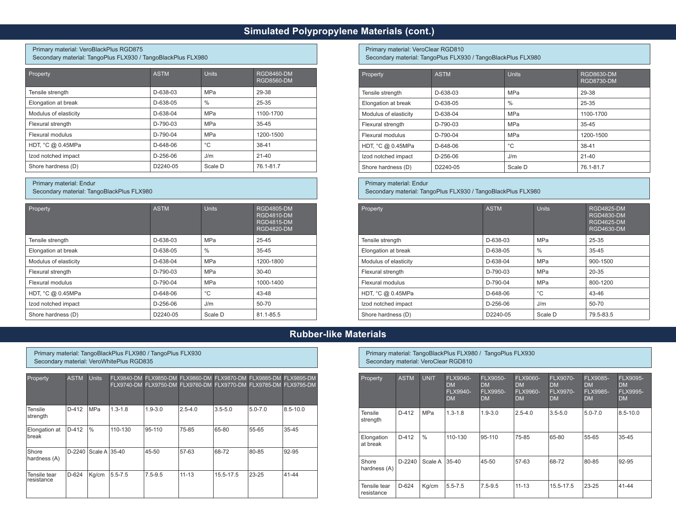## **Simulated Polypropylene Materials (cont.)**

#### Primary material: VeroBlackPlus RGD875 Secondary material: TangoPlus FLX930 / TangoBlackPlus FLX980

| Property              | <b>ASTM</b> | Units      | <b>RGD8460-DM</b><br>RGD8560-DM |
|-----------------------|-------------|------------|---------------------------------|
| Tensile strength      | D-638-03    | <b>MPa</b> | 29-38                           |
| Elongation at break   | D-638-05    | $\%$       | 25-35                           |
| Modulus of elasticity | D-638-04    | <b>MPa</b> | 1100-1700                       |
| Flexural strength     | $D-790-03$  | <b>MPa</b> | $35 - 45$                       |
| Flexural modulus      | $D-790-04$  | <b>MPa</b> | 1200-1500                       |
| HDT, °C @ 0.45MPa     | $D-648-06$  | °C         | 38-41                           |
| Izod notched impact   | $D-256-06$  | J/m        | $21 - 40$                       |
| Shore hardness (D)    | D2240-05    | Scale D    | 76.1-81.7                       |

### Primary material: Endur

Secondary material: TangoBlackPlus FLX980

| Property              | <b>ASTM</b> | <b>Units</b>  | <b>RGD4805-DM</b><br><b>RGD4810-DM</b><br><b>RGD4815-DM</b><br><b>RGD4820-DM</b> |
|-----------------------|-------------|---------------|----------------------------------------------------------------------------------|
| Tensile strength      | D-638-03    | <b>MPa</b>    | 25-45                                                                            |
| Elongation at break   | D-638-05    | $\frac{0}{0}$ | $35 - 45$                                                                        |
| Modulus of elasticity | D-638-04    | <b>MPa</b>    | 1200-1800                                                                        |
| Flexural strength     | $D-790-03$  | <b>MPa</b>    | $30 - 40$                                                                        |
| Flexural modulus      | D-790-04    | <b>MPa</b>    | 1000-1400                                                                        |
| HDT, °C @ 0.45MPa     | D-648-06    | °C            | 43-48                                                                            |
| Izod notched impact   | D-256-06    | J/m           | 50-70                                                                            |
| Shore hardness (D)    | D2240-05    | Scale D       | 81.1-85.5                                                                        |

Primary material: VeroClear RGD810

Secondary material: TangoPlus FLX930 / TangoBlackPlus FLX980

| Property              | <b>ASTM</b> | <b>Units</b> | <b>RGD8630-DM</b><br><b>RGD8730-DM</b> |
|-----------------------|-------------|--------------|----------------------------------------|
| Tensile strength      | D-638-03    | <b>MPa</b>   | 29-38                                  |
| Elongation at break   | D-638-05    | $\%$         | 25-35                                  |
| Modulus of elasticity | D-638-04    | <b>MPa</b>   | 1100-1700                              |
| Flexural strength     | $D-790-03$  | <b>MPa</b>   | 35-45                                  |
| Flexural modulus      | D-790-04    | <b>MPa</b>   | 1200-1500                              |
| HDT, °C @ 0.45MPa     | $D-648-06$  | °C           | $38 - 41$                              |
| Izod notched impact   | $D-256-06$  | J/m          | $21 - 40$                              |
| Shore hardness (D)    | D2240-05    | Scale D      | 76.1-81.7                              |

#### Primary material: Endur

Secondary material: TangoPlus FLX930 / TangoBlackPlus FLX980

| Property              | <b>ASTM</b> | <b>Units</b>  | <b>RGD4825-DM</b><br>RGD4830-DM<br><b>RGD4625-DM</b><br><b>RGD4630-DM</b> |
|-----------------------|-------------|---------------|---------------------------------------------------------------------------|
| Tensile strength      | D-638-03    | MPa           | 25-35                                                                     |
| Elongation at break   | D-638-05    | $\frac{0}{0}$ | 35-45                                                                     |
| Modulus of elasticity | D-638-04    | <b>MPa</b>    | 900-1500                                                                  |
| Flexural strength     | $D-790-03$  | <b>MPa</b>    | $20 - 35$                                                                 |
| Flexural modulus      | $D-790-04$  | <b>MPa</b>    | 800-1200                                                                  |
| HDT, °C @ 0.45MPa     | $D-648-06$  | $^{\circ}$ C  | 43-46                                                                     |
| Izod notched impact   | $D-256-06$  | J/m           | 50-70                                                                     |
| Shore hardness (D)    | D2240-05    | Scale D       | 79.5-83.5                                                                 |

## **Rubber-like Materials**

Primary material: TangoBlackPlus FLX980 / TangoPlus FLX930 Secondary material: VeroWhitePlus RGD835

| Property                      | <b>ASTM</b> | <b>Units</b>  |             |             |             | FLX9840-DM FLX9850-DM FLX9860-DM FLX9870-DM FLX9885-DM FLX9895-DM<br>FLX9740-DM FLX9750-DM FLX9760-DM FLX9770-DM FLX9785-DM FLX9795-DM |             |              |
|-------------------------------|-------------|---------------|-------------|-------------|-------------|----------------------------------------------------------------------------------------------------------------------------------------|-------------|--------------|
| Tensile<br>strength           | $D-412$     | <b>MPa</b>    | $1.3 - 1.8$ | $1.9 - 3.0$ | $2.5 - 4.0$ | $3.5 - 5.0$                                                                                                                            | $5.0 - 7.0$ | $8.5 - 10.0$ |
| Elongation at<br><b>break</b> | $D-412$     | $\frac{0}{0}$ | 110-130     | 95-110      | 75-85       | 65-80                                                                                                                                  | 55-65       | 35-45        |
| Shore<br>hardness (A)         | $D-2240$    | Scale A 35-40 |             | 45-50       | 57-63       | 68-72                                                                                                                                  | 80-85       | 92-95        |
| Tensile tear<br>resistance    | $D-624$     | Kg/cm         | $5.5 - 7.5$ | $7.5 - 9.5$ | $11 - 13$   | 15.5-17.5                                                                                                                              | $23 - 25$   | 41-44        |

Primary material: TangoBlackPlus FLX980 / TangoPlus FLX930 Secondary material: VeroClear RGD810

| Property                   | <b>ASTM</b> | <b>UNIT</b>   | <b>FLX9040-</b><br><b>DM</b><br><b>FLX9940-</b><br><b>DM</b> | <b>FLX9050-</b><br><b>DM</b><br><b>FLX9950-</b><br><b>DM</b> | <b>FLX9060-</b><br>D <sub>M</sub><br>FLX9960-<br><b>DM</b> | <b>FLX9070-</b><br><b>DM</b><br><b>FLX9970-</b><br><b>DM</b> | <b>FLX9085-</b><br><b>DM</b><br><b>FLX9985-</b><br><b>DM</b> | <b>FLX9095-</b><br>DM.<br><b>FLX9995-</b><br><b>DM</b> |
|----------------------------|-------------|---------------|--------------------------------------------------------------|--------------------------------------------------------------|------------------------------------------------------------|--------------------------------------------------------------|--------------------------------------------------------------|--------------------------------------------------------|
| Tensile<br>strength        | $D-412$     | <b>MPa</b>    | $1.3 - 1.8$                                                  | $1.9 - 3.0$                                                  | $2.5 - 4.0$                                                | $3.5 - 5.0$                                                  | $5.0 - 7.0$                                                  | $8.5 - 10.0$                                           |
| Elongation<br>at break     | $D-412$     | $\frac{0}{0}$ | 110-130                                                      | 95-110                                                       | 75-85                                                      | 65-80                                                        | 55-65                                                        | 35-45                                                  |
| Shore<br>hardness (A)      | $D-2240$    | Scale A       | $35-40$                                                      | 45-50                                                        | 57-63                                                      | 68-72                                                        | 80-85                                                        | 92-95                                                  |
| Tensile tear<br>resistance | $D-624$     | Kg/cm         | $5.5 - 7.5$                                                  | $7.5 - 9.5$                                                  | $11 - 13$                                                  | 15.5-17.5                                                    | 23-25                                                        | 41-44                                                  |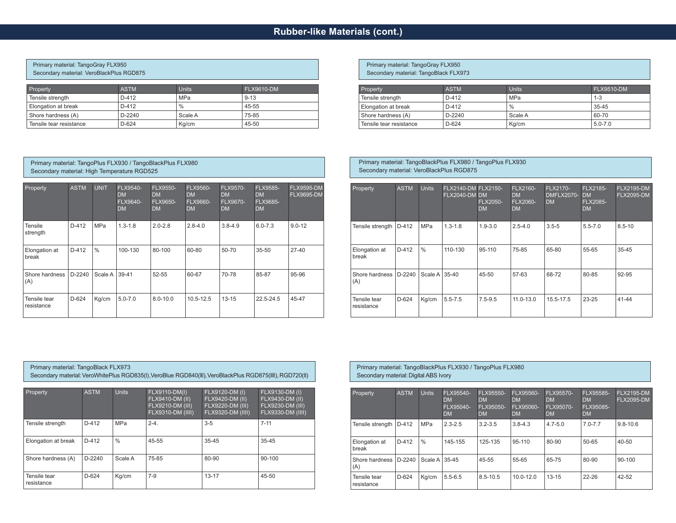## **Rubber-like Materials (cont.)**

## Primary material: TangoGray FLX950 Secondary material: VeroBlackPlus RGD875

| Property                | <b>ASTM</b> | <b>Units</b>  | FLX9610-DM |
|-------------------------|-------------|---------------|------------|
| Tensile strength        | $D-412$     | MPa           | $9 - 13$   |
| Elongation at break     | $D-412$     | $\frac{0}{0}$ | 45-55      |
| Shore hardness (A)      | $D-2240$    | Scale A       | 75-85      |
| Tensile tear resistance | $D-624$     | Kg/cm         | 45-50      |

#### Primary material: TangoPlus FLX930 / TangoBlackPlus FLX980 Secondary material: High Temperature RGD525

| Property                   | <b>ASTM</b> | <b>UNIT</b>   | <b>FLX9540-</b><br><b>DM</b><br><b>FLX9640-</b><br><b>DM</b> | <b>FLX9550-</b><br><b>DM</b><br><b>FLX9650-</b><br><b>DM</b> | <b>FLX9560-</b><br><b>DM</b><br><b>FLX9660-</b><br><b>DM</b> | <b>FLX9570-</b><br><b>DM</b><br><b>FLX9670-</b><br><b>DM</b> | FLX9585-<br><b>DM</b><br>FLX9685-<br><b>DM</b> | <b>FLX9595-DM</b><br><b>FLX9695-DM</b> |
|----------------------------|-------------|---------------|--------------------------------------------------------------|--------------------------------------------------------------|--------------------------------------------------------------|--------------------------------------------------------------|------------------------------------------------|----------------------------------------|
| Tensile<br>strength        | $D-412$     | <b>MPa</b>    | $1.3 - 1.8$                                                  | $2.0 - 2.8$                                                  | $2.8 - 4.0$                                                  | $3.8 - 4.9$                                                  | $6.0 - 7.3$                                    | $9.0 - 12$                             |
| Elongation at<br>break     | $D-412$     | $\frac{0}{0}$ | 100-130                                                      | 80-100                                                       | 60-80                                                        | 50-70                                                        | $35 - 50$                                      | $27-40$                                |
| Shore hardness<br>(A)      | $D-2240$    | Scale A       | 39-41                                                        | $52 - 55$                                                    | 60-67                                                        | 70-78                                                        | 85-87                                          | 95-96                                  |
| Tensile tear<br>resistance | $D-624$     | Kg/cm         | $5.0 - 7.0$                                                  | $8.0 - 10.0$                                                 | $10.5 - 12.5$                                                | $13 - 15$                                                    | 22.5-24.5                                      | 45-47                                  |

Primary material: TangoGray FLX950 Secondary material: TangoBlack FLX973 Property **ASTM** ASTM Units FLX9510-DM Tensile strength  $\vert$  D-412 MPa 1-3 Elongation at break  $\vert$  D-412  $\vert$  % 35-45 Shore hardness (A)  $D-2240$  Scale A 60-70 Tensile tear resistance  $\vert$  D-624 Kg/cm 5.0-7.0

#### Property ASTM Units FLX2140-DM FLX2150- FLX2040-DM DM FLX2050- D<sub>M</sub> FLX2160- DM FLX2060- DM FLX2170- DMFLX2070- DM FLX2185- DM FLX2085- DM FLX2195-DM FLX2095-DM Tensile strength | D-412 | MPa | 1.3-1.8 | 1.9-3.0 | 2.5-4.0 | 3.5-5 | 5.5-7.0 | 8.5-10 Elongation at break D-412 % 110-130 95-110 75-85 65-80 55-65 35-45 Shore hardness | D-2240 (A)  $|Scale A|$  35-40  $|45-50$   $|57-63$   $|68-72$   $|80-85$   $|92-95$ Tensile tear resistance D-624 Kg/cm 5.5-7.5 7.5-9.5 11.0-13.0 15.5-17.5 23-25 41-44

#### Primary material: TangoBlack FLX973

Secondary material: VeroWhitePlus RGD835(I), VeroBlue RGD840(III), VeroBlackPlus RGD875(IIII), RGD720(II)

| Property                   | <b>ASTM</b> | <b>Units</b> | FLX9110-DM(I)<br>FLX9410-DM (II)<br>FLX9210-DM (III)<br>FLX9310-DM (IIII) | FLX9120-DM (I)<br>FLX9420-DM (II)<br>FLX9220-DM (III)<br>FLX9320-DM (IIII) | FLX9130-DM (I)<br>FLX9430-DM (II),<br>FLX9230-DM (III)<br><b>FLX9330-DM (IIII)</b> |
|----------------------------|-------------|--------------|---------------------------------------------------------------------------|----------------------------------------------------------------------------|------------------------------------------------------------------------------------|
| Tensile strenath           | $D-412$     | MPa          | $2 - 4$ .                                                                 | $3-5$                                                                      | $7 - 11$                                                                           |
| Elongation at break        | $D-412$     | $\%$         | 45-55                                                                     | $35 - 45$                                                                  | $35 - 45$                                                                          |
| Shore hardness (A)         | $D-2240$    | Scale A      | 75-85                                                                     | 80-90                                                                      | $90 - 100$                                                                         |
| Tensile tear<br>resistance | $D-624$     | Kg/cm        | $7-9$                                                                     | $13 - 17$                                                                  | $45 - 50$                                                                          |

#### Primary material: TangoBlackPlus FLX930 / TangoPlus FLX980 Secondary material: Digital ABS Ivory

Primary material: TangoBlackPlus FLX980 / TangoPlus FLX930

Secondary material: VeroBlackPlus RGD875

| Property                   | <b>ASTM</b> | <b>Units</b>    | FLX95540-<br>DM<br>FLX95040-<br><b>DM</b> | FLX95550-<br><b>DM</b><br>FLX95050-<br><b>DM</b> | <b>FLX95560-</b><br><b>DM</b><br>FLX95060-<br><b>DM</b> | FLX95570-<br><b>DM</b><br>FLX95070-<br><b>DM</b> | FLX95585-<br><b>DM</b><br>FLX95085-<br><b>DM</b> | <b>FLX2195-DM</b><br><b>FLX2095-DM</b> |
|----------------------------|-------------|-----------------|-------------------------------------------|--------------------------------------------------|---------------------------------------------------------|--------------------------------------------------|--------------------------------------------------|----------------------------------------|
| Tensile strength           | $D-412$     | <b>MPa</b>      | $2.3 - 2.5$                               | $3.2 - 3.5$                                      | $3.8 - 4.3$                                             | $4.7 - 5.0$                                      | $7.0 - 7.7$                                      | $9.8 - 10.6$                           |
| Elongation at<br>break     | $D-412$     | $\frac{0}{0}$   | 145-155                                   | 125-135                                          | 95-110                                                  | 80-90                                            | $50 - 65$                                        | $40 - 50$                              |
| Shore hardness<br>(A)      | $D-2240$    | Scale A   35-45 |                                           | 45-55                                            | 55-65                                                   | 65-75                                            | 80-90                                            | $90 - 100$                             |
| Tensile tear<br>resistance | $D-624$     | Kg/cm           | $5.5 - 6.5$                               | 8.5-10.5                                         | $10.0 - 12.0$                                           | $13 - 15$                                        | $22 - 26$                                        | $42 - 52$                              |